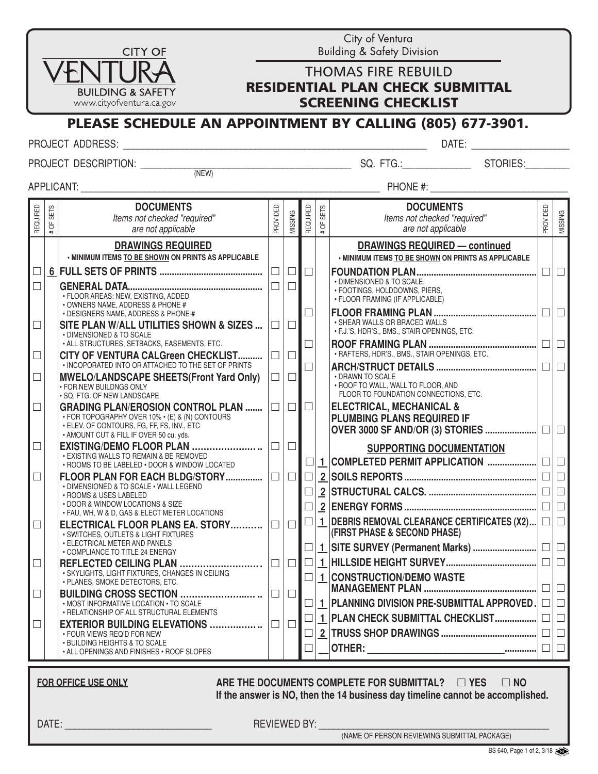| <b>CITY OF</b>           |                                                           |                                                                                                       | City of Ventura<br><b>Building &amp; Safety Division</b> |                                         |          |         |                                                                                                       |          |                  |  |  |  |
|--------------------------|-----------------------------------------------------------|-------------------------------------------------------------------------------------------------------|----------------------------------------------------------|-----------------------------------------|----------|---------|-------------------------------------------------------------------------------------------------------|----------|------------------|--|--|--|
|                          |                                                           |                                                                                                       | <b>THOMAS FIRE REBUILD</b>                               |                                         |          |         |                                                                                                       |          |                  |  |  |  |
|                          | <b>BUILDING &amp; SAFETY</b>                              |                                                                                                       |                                                          | <b>RESIDENTIAL PLAN CHECK SUBMITTAL</b> |          |         |                                                                                                       |          |                  |  |  |  |
| www.cityofventura.ca.gov |                                                           |                                                                                                       | <b>SCREENING CHECKLIST</b>                               |                                         |          |         |                                                                                                       |          |                  |  |  |  |
|                          | PLEASE SCHEDULE AN APPOINTMENT BY CALLING (805) 677-3901. |                                                                                                       |                                                          |                                         |          |         |                                                                                                       |          |                  |  |  |  |
|                          |                                                           | PROJECT ADDRESS:<br><u> 1989 - Johann John Stein, mars an deus Amerikaansk kommunister (</u>          |                                                          |                                         |          |         |                                                                                                       |          |                  |  |  |  |
|                          |                                                           |                                                                                                       |                                                          |                                         |          |         |                                                                                                       |          |                  |  |  |  |
|                          |                                                           |                                                                                                       |                                                          |                                         |          |         |                                                                                                       |          |                  |  |  |  |
|                          |                                                           |                                                                                                       |                                                          |                                         |          |         |                                                                                                       |          |                  |  |  |  |
| <b>REQUIRED</b>          | OF SETS                                                   | <b>DOCUMENTS</b><br>Items not checked "required"                                                      | PROVIDED                                                 | MISSING                                 | REQUIRED | OF SETS | <b>DOCUMENTS</b><br>Items not checked "required"                                                      | PROVIDED | MISSING          |  |  |  |
|                          |                                                           | are not applicable                                                                                    |                                                          |                                         |          | #       | are not applicable                                                                                    |          |                  |  |  |  |
|                          |                                                           | <b>DRAWINGS REQUIRED</b><br>. MINIMUM ITEMS TO BE SHOWN ON PRINTS AS APPLICABLE                       |                                                          |                                         |          |         | <b>DRAWINGS REQUIRED - continued</b><br>• MINIMUM ITEMS TO BE SHOWN ON PRINTS AS APPLICABLE           |          |                  |  |  |  |
| $\Box$                   |                                                           |                                                                                                       | $\Box$                                                   | $\Box$                                  | $\Box$   |         |                                                                                                       | $\Box$   | $\Box$           |  |  |  |
| $\Box$                   |                                                           |                                                                                                       |                                                          | $\Box$                                  |          |         | • DIMENSIONED & TO SCALE,<br>· FOOTINGS, HOLDDOWNS, PIERS,                                            |          |                  |  |  |  |
|                          |                                                           | • FLOOR AREAS: NEW, EXISTING, ADDED<br>• OWNERS NAME, ADDRESS & PHONE #                               |                                                          |                                         |          |         | • FLOOR FRAMING (IF APPLICABLE)                                                                       |          |                  |  |  |  |
| $\Box$                   |                                                           | • DESIGNERS NAME, ADDRESS & PHONE #<br>SITE PLAN W/ALL UTILITIES SHOWN & SIZES                        | $\Box$                                                   | $\Box$                                  | $\Box$   |         | · SHEAR WALLS OR BRACED WALLS                                                                         |          | $\Box$           |  |  |  |
|                          |                                                           | • DIMENSIONED & TO SCALE<br>• ALL STRUCTURES, SETBACKS, EASEMENTS, ETC.                               |                                                          |                                         | $\Box$   |         | • F.J.'S, HDR'S., BMS., STAIR OPENINGS, ETC.                                                          |          |                  |  |  |  |
| $\Box$                   |                                                           | CITY OF VENTURA CALGreen CHECKLIST                                                                    | $\Box$                                                   | $\Box$                                  |          |         | • RAFTERS, HDR'S., BMS., STAIR OPENINGS, ETC.                                                         |          |                  |  |  |  |
| $\Box$                   |                                                           | • INCOPORATED INTO OR ATTACHED TO THE SET OF PRINTS<br><b>MWELO/LANDSCAPE SHEETS(Front Yard Only)</b> | $\Box$                                                   | $\Box$                                  | $\Box$   |         | • DRAWN TO SCALE                                                                                      |          | $\Box$           |  |  |  |
|                          |                                                           | . FOR NEW BUILDNGS ONLY<br>· SQ. FTG. OF NEW LANDSCAPE                                                |                                                          |                                         |          |         | . ROOF TO WALL, WALL TO FLOOR, AND<br>FLOOR TO FOUNDATION CONNECTIONS, ETC.                           |          |                  |  |  |  |
| $\Box$                   |                                                           | <b>GRADING PLAN/EROSION CONTROL PLAN </b><br>• FOR TOPOGRAPHY OVER 10% • (E) & (N) CONTOURS           | $\Box$                                                   | $\Box$                                  | $\Box$   |         | <b>ELECTRICAL, MECHANICAL &amp;</b>                                                                   |          |                  |  |  |  |
|                          |                                                           | • ELEV. OF CONTOURS, FG, FF, FS, INV., ETC<br>• AMOUNT CUT & FILL IF OVER 50 cu. yds.                 |                                                          |                                         |          |         | <b>PLUMBING PLANS REQUIRED IF</b>                                                                     | $\Box$   | $\Box$           |  |  |  |
| $\Box$                   |                                                           |                                                                                                       |                                                          | $\Box$                                  |          |         | <b>SUPPORTING DOCUMENTATION</b>                                                                       |          |                  |  |  |  |
|                          |                                                           | • EXISTING WALLS TO REMAIN & BE REMOVED<br>• ROOMS TO BE LABELED • DOOR & WINDOW LOCATED              |                                                          |                                         |          |         |                                                                                                       |          |                  |  |  |  |
| $\Box$                   |                                                           | • DIMENSIONED & TO SCALE • WALL LEGEND                                                                |                                                          |                                         |          |         |                                                                                                       |          |                  |  |  |  |
|                          |                                                           | • ROOMS & USES LABELED<br>• DOOR & WINDOW LOCATIONS & SIZE                                            |                                                          |                                         |          |         |                                                                                                       |          |                  |  |  |  |
|                          |                                                           | • FAU, WH, W & D, GAS & ELECT METER LOCATIONS                                                         |                                                          |                                         |          |         | $\Box$ DEBRIS REMOVAL CLEARANCE CERTIFICATES (X2) $\Box$ $\Box$                                       |          | $\Box$           |  |  |  |
| $\Box$                   |                                                           | ELECTRICAL FLOOR PLANS EA. STORY  <br>• SWITCHES, OUTLETS & LIGHT FIXTURES                            |                                                          | $\Box$                                  |          |         | <b>(FIRST PHASE &amp; SECOND PHASE)</b>                                                               |          |                  |  |  |  |
|                          |                                                           | • ELECTRICAL METER AND PANELS<br>• COMPLIANCE TO TITLE 24 ENERGY                                      |                                                          |                                         |          |         |                                                                                                       |          |                  |  |  |  |
| $\Box$                   |                                                           | REFLECTED CEILING PLAN<br>· SKYLIGHTS, LIGHT FIXTURES, CHANGES IN CEILING                             | $\Box$                                                   | $\Box$                                  | $\Box$   |         |                                                                                                       | $\Box$   | $\Box$           |  |  |  |
|                          |                                                           | • PLANES, SMOKE DETECTORS, ETC.                                                                       |                                                          |                                         |          |         | $\Box$   1   CONSTRUCTION/DEMO WASTE<br>$\boxed{\begin{array}{c} \text{MANAGEMENT PLAN} \end{array}}$ |          |                  |  |  |  |
| $\Box$                   |                                                           | BUILDING CROSS SECTION<br>. MOST INFORMATIVE LOCATION . TO SCALE                                      | $\Box$                                                   | $\Box$                                  |          |         | $\Box$ 1 Planning division Pre-submittal approved. $\Box$ $\Box$                                      |          |                  |  |  |  |
| $\Box$                   |                                                           | • RELATIONSHIP OF ALL STRUCTURAL ELEMENTS<br>EXTERIOR BUILDING ELEVATIONS                             | $\Box$                                                   | $\Box$                                  | $\Box$   |         |                                                                                                       |          | $\Box$           |  |  |  |
|                          |                                                           | . FOUR VIEWS REQ'D FOR NEW<br>• BUILDING HEIGHTS & TO SCALE                                           |                                                          |                                         | $\Box$   |         |                                                                                                       |          | $\Box$           |  |  |  |
|                          |                                                           | . ALL OPENINGS AND FINISHES . ROOF SLOPES                                                             |                                                          |                                         | П        |         |                                                                                                       |          | $\hfill \square$ |  |  |  |

**FOR OFFICE USE ONLY**

ARE THE DOCUMENTS COMPLETE FOR SUBMITTAL?  $\Box$  YES  $\Box$  NO **If the answer is NO, then the 14 business day timeline cannot be accomplished.**

DATE: \_\_\_\_\_\_\_\_\_\_\_\_\_\_\_\_\_\_\_\_\_\_\_\_\_\_\_\_\_\_ REVIEWED BY: \_\_\_\_\_\_\_\_\_\_\_\_\_\_\_\_\_\_\_\_\_\_\_\_\_\_\_\_\_\_\_\_\_\_\_\_\_\_\_\_\_\_\_\_\_\_\_

(NAME OF PERSON REVIEWING SUBMITTAL PACKAGE)